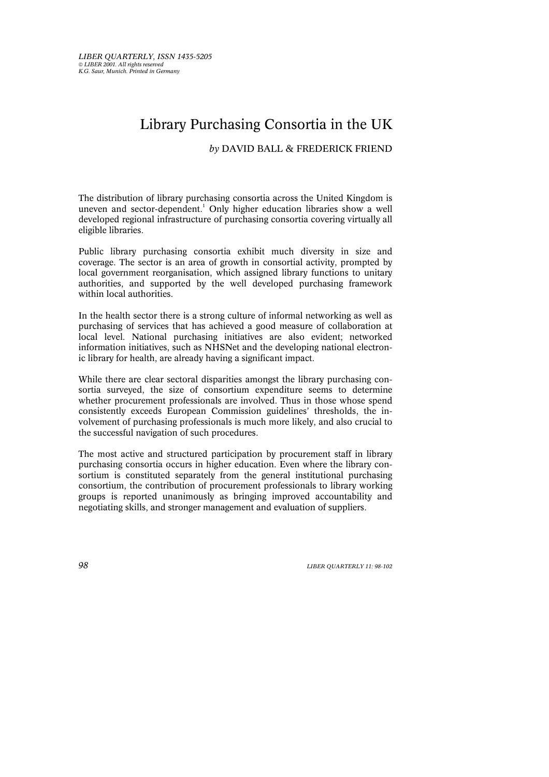## Library Purchasing Consortia in the UK

*by* DAVID BALL & FREDERICK FRIEND

The distribution of library purchasing consortia across the United Kingdom is uneven and sector-dependent.<sup>1</sup> Only higher education libraries show a well developed regional infrastructure of purchasing consortia covering virtually all eligible libraries.

Public library purchasing consortia exhibit much diversity in size and coverage. The sector is an area of growth in consortial activity, prompted by local government reorganisation, which assigned library functions to unitary authorities, and supported by the well developed purchasing framework within local authorities.

In the health sector there is a strong culture of informal networking as well as purchasing of services that has achieved a good measure of collaboration at local level. National purchasing initiatives are also evident; networked information initiatives, such as NHSNet and the developing national electronic library for health, are already having a significant impact.

While there are clear sectoral disparities amongst the library purchasing consortia surveyed, the size of consortium expenditure seems to determine whether procurement professionals are involved. Thus in those whose spend consistently exceeds European Commission guidelines' thresholds, the involvement of purchasing professionals is much more likely, and also crucial to the successful navigation of such procedures.

The most active and structured participation by procurement staff in library purchasing consortia occurs in higher education. Even where the library consortium is constituted separately from the general institutional purchasing consortium, the contribution of procurement professionals to library working groups is reported unanimously as bringing improved accountability and negotiating skills, and stronger management and evaluation of suppliers.

*98 LIBER QUARTERLY 11: 98-102*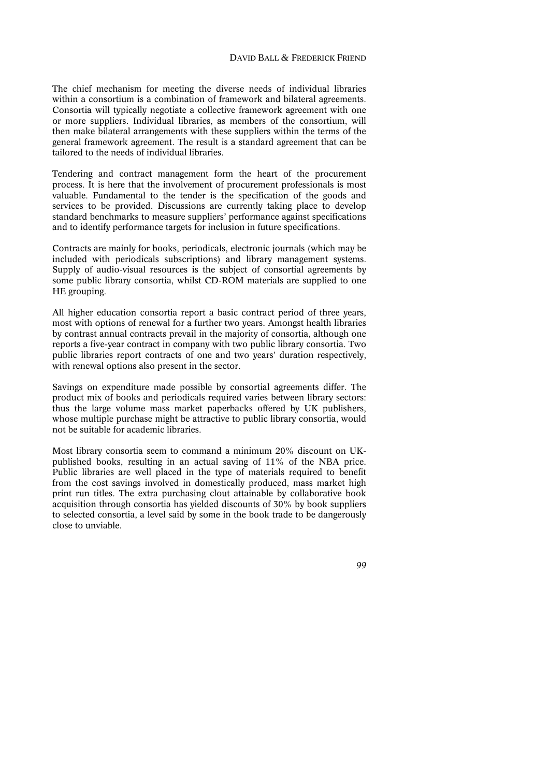The chief mechanism for meeting the diverse needs of individual libraries within a consortium is a combination of framework and bilateral agreements. Consortia will typically negotiate a collective framework agreement with one or more suppliers. Individual libraries, as members of the consortium, will then make bilateral arrangements with these suppliers within the terms of the general framework agreement. The result is a standard agreement that can be tailored to the needs of individual libraries.

Tendering and contract management form the heart of the procurement process. It is here that the involvement of procurement professionals is most valuable. Fundamental to the tender is the specification of the goods and services to be provided. Discussions are currently taking place to develop standard benchmarks to measure suppliers' performance against specifications and to identify performance targets for inclusion in future specifications.

Contracts are mainly for books, periodicals, electronic journals (which may be included with periodicals subscriptions) and library management systems. Supply of audio-visual resources is the subject of consortial agreements by some public library consortia, whilst CD-ROM materials are supplied to one HE grouping.

All higher education consortia report a basic contract period of three years, most with options of renewal for a further two years. Amongst health libraries by contrast annual contracts prevail in the majority of consortia, although one reports a five-year contract in company with two public library consortia. Two public libraries report contracts of one and two years' duration respectively, with renewal options also present in the sector.

Savings on expenditure made possible by consortial agreements differ. The product mix of books and periodicals required varies between library sectors: thus the large volume mass market paperbacks offered by UK publishers, whose multiple purchase might be attractive to public library consortia, would not be suitable for academic libraries.

Most library consortia seem to command a minimum 20% discount on UKpublished books, resulting in an actual saving of 11% of the NBA price. Public libraries are well placed in the type of materials required to benefit from the cost savings involved in domestically produced, mass market high print run titles. The extra purchasing clout attainable by collaborative book acquisition through consortia has yielded discounts of 30% by book suppliers to selected consortia, a level said by some in the book trade to be dangerously close to unviable.

*99*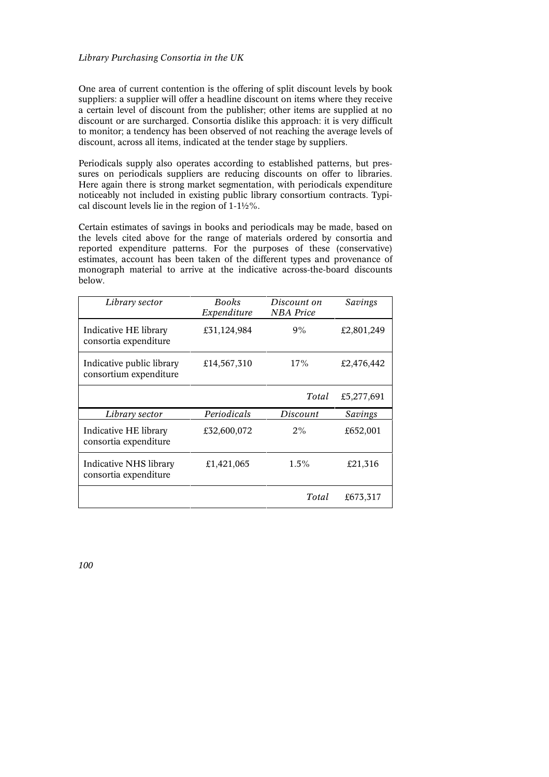## *Library Purchasing Consortia in the UK*

One area of current contention is the offering of split discount levels by book suppliers: a supplier will offer a headline discount on items where they receive a certain level of discount from the publisher; other items are supplied at no discount or are surcharged. Consortia dislike this approach: it is very difficult to monitor; a tendency has been observed of not reaching the average levels of discount, across all items, indicated at the tender stage by suppliers.

Periodicals supply also operates according to established patterns, but pressures on periodicals suppliers are reducing discounts on offer to libraries. Here again there is strong market segmentation, with periodicals expenditure noticeably not included in existing public library consortium contracts. Typical discount levels lie in the region of 1-1½%.

Certain estimates of savings in books and periodicals may be made, based on the levels cited above for the range of materials ordered by consortia and reported expenditure patterns. For the purposes of these (conservative) estimates, account has been taken of the different types and provenance of monograph material to arrive at the indicative across-the-board discounts below.

| Library sector                                      | <b>Books</b><br>Expenditure | Discount on<br><b>NBA</b> Price | Savings    |
|-----------------------------------------------------|-----------------------------|---------------------------------|------------|
| Indicative HE library<br>consortia expenditure      | £31,124,984                 | 9%                              | £2,801,249 |
| Indicative public library<br>consortium expenditure | £14,567,310                 | 17%                             | £2,476,442 |
|                                                     |                             | Total                           | £5,277,691 |
| Library sector                                      | Periodicals                 | Discount                        | Savings    |
| Indicative HE library<br>consortia expenditure      | £32,600,072                 | 2%                              | £652,001   |
| Indicative NHS library<br>consortia expenditure     | £1,421,065                  | $1.5\%$                         | £21,316    |
|                                                     |                             | Total                           | £673,317   |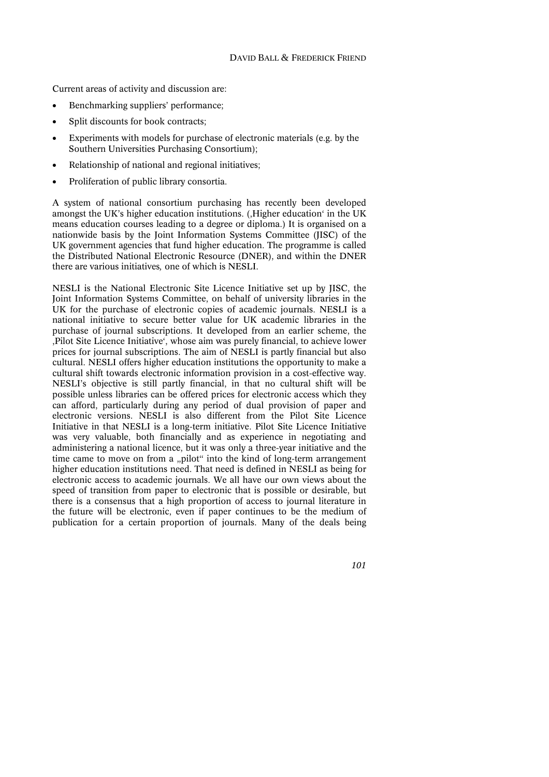Current areas of activity and discussion are:

- Benchmarking suppliers' performance;
- Split discounts for book contracts;
- Experiments with models for purchase of electronic materials (e.g. by the Southern Universities Purchasing Consortium);
- Relationship of national and regional initiatives;
- Proliferation of public library consortia.

A system of national consortium purchasing has recently been developed amongst the UK's higher education institutions. (, Higher education' in the UK means education courses leading to a degree or diploma.) It is organised on a nationwide basis by the Joint Information Systems Committee (JISC) of the UK government agencies that fund higher education. The programme is called the Distributed National Electronic Resource (DNER), and within the DNER there are various initiatives*,* one of which is NESLI.

NESLI is the National Electronic Site Licence Initiative set up by JISC, the Joint Information Systems Committee, on behalf of university libraries in the UK for the purchase of electronic copies of academic journals. NESLI is a national initiative to secure better value for UK academic libraries in the purchase of journal subscriptions. It developed from an earlier scheme, the 'Pilot Site Licence Initiative', whose aim was purely financial, to achieve lower prices for journal subscriptions. The aim of NESLI is partly financial but also cultural. NESLI offers higher education institutions the opportunity to make a cultural shift towards electronic information provision in a cost-effective way. NESLI's objective is still partly financial, in that no cultural shift will be possible unless libraries can be offered prices for electronic access which they can afford, particularly during any period of dual provision of paper and electronic versions. NESLI is also different from the Pilot Site Licence Initiative in that NESLI is a long-term initiative. Pilot Site Licence Initiative was very valuable, both financially and as experience in negotiating and administering a national licence, but it was only a three-year initiative and the time came to move on from a "pilot" into the kind of long-term arrangement higher education institutions need. That need is defined in NESLI as being for electronic access to academic journals. We all have our own views about the speed of transition from paper to electronic that is possible or desirable, but there is a consensus that a high proportion of access to journal literature in the future will be electronic, even if paper continues to be the medium of publication for a certain proportion of journals. Many of the deals being

*101*